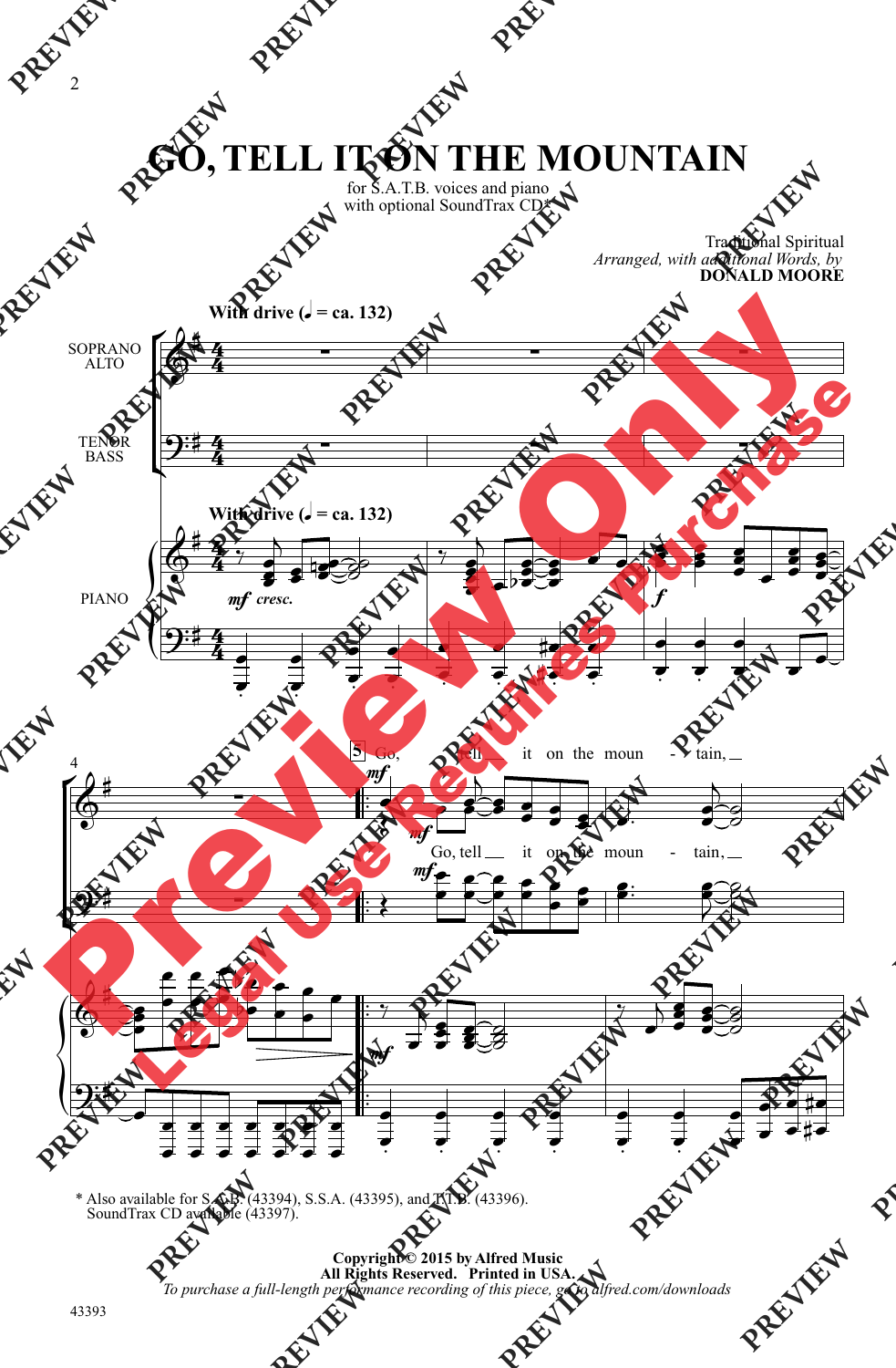## **GO, TELL IT ON THE MOUNTAIN**

for S.A.T.B. voices and piano with optional SoundTrax CD\*

Traditional Spiritual

**DONALD MOORE**

*Arranged, with additional Words, by*

 $\mathsf{r}$ Ľ  $\left\{\begin{matrix} 1 \\ 1 \\ 2 \end{matrix}\right\}$ ŕ ľ  $\left\{\begin{matrix} 1 \\ 0 \\ 0 \end{matrix}\right\}$ **With drive (** $\sqrt{ }$  **= ca. 132) With drive (** $\sqrt{ }$  **= ca. 132)** SOPRANO ALTO TENOR BASS PIANO 4  $\frac{1}{1}$  $\frac{1}{1}$  $\frac{1}{2}$  $\frac{1}{1}$  $\frac{1}{2}$  $\frac{1}{1}$  $\frac{1}{2}$  $\frac{1}{2}$ **5** 4  $\frac{4}{4}$ 4  $\frac{4}{4}$  $\frac{1}{2}$  $\frac{4}{4}$ 4  $\frac{4}{4}$  $6^{\frac{1}{2}}$  $9:4$  and  $\longrightarrow$  $\frac{\partial}{\partial \theta}$ f  $9:4$  $\begin{array}{c} \hline \uparrow \\ \hline \end{array}$ <br>*mf* cresc.  $\begin{matrix} \begin{array}{ccc} \begin{array}{ccc} \end{array} & & \end{array} \end{matrix}$ Go, mf mf Go, tell tell it on the moun it on the moun tain, tain, - -  $\frac{1}{\sqrt{1-\frac{1}{2}}}\left\{\frac{1}{\sqrt{1-\frac{1}{2}}}\right\}$   $\overline{\mathbf{G}}$  $m<sub>i</sub>$ e<br>S  $\frac{1}{2}$  $\overline{a}$  $\overline{\bullet}$  $\overline{\mathbf{S}}$  $\mathcal{L}$  $\frac{1}{\sqrt{2}}$ Ę i  $\overline{\bullet}$  $\overline{\bullet}$  $\overline{a}$  $\frac{1}{2}$  $\overline{\bullet}$  $\overline{\bullet}$ 533  $\frac{1}{2}$  $\frac{1}{2}$  $\bullet$  $\frac{1}{\cdot}$  $\bullet$  $rac{2}{3}$  $\bullet$  $\overline{\bullet}$  $\overline{\phantom{a}}$  $\blacksquare$  $\frac{1}{2}$  $\overline{\bullet}$  $\frac{1}{2}$  $\overline{\bullet}$  $\overline{\phantom{a}}$  $\blacksquare$   $\mathbf{L}$ र र  $\overline{\phantom{0}}$  $\overline{\phantom{a}}$  $\frac{1}{2}$  $\frac{1}{2}$  $\frac{1}{4}$ **NGE**  $\overline{\epsilon}$  $\frac{1}{2}$  $\frac{1}{\bullet}$  $\overline{\cdot}$  $\frac{1}{\bullet}$  $\overline{\cdot}$  $\blacksquare$  $\frac{1}{2}$  $\overline{\bm{\xi}}$ **TAY!**  $\overline{\phantom{a}}$  $\overline{\bullet}$  $\frac{1}{2}$  $\frac{1}{2}$  $\frac{1}{2}$   $\overline{\bullet}$  $\overline{ }$  ≹ ;<br>P  $\frac{2}{\sqrt{2}}$  $\frac{1}{\sqrt{2}}$  $\frac{2}{\sqrt{2}}$  $\frac{2}{\pi}$  $\frac{1}{\sqrt{2}}$  $\bullet$   $\bullet$  $\frac{1}{\sqrt{2}}$  $\overline{2}$  $\beta$  $\overline{\bullet}$ õ<br>P  $\overline{\phantom{a}}$  $\frac{1}{2}$  $\overline{\bullet}$  $\bullet$  $\frac{2}{\sqrt{2}}$ F J 8  $\frac{1}{\sqrt{2}}$  $\begin{array}{|c|c|c|}\n\hline\n\bullet & \mathrel{\mathop:}^{\bullet}\n\hline\n\end{array}$  $\overline{\phantom{0}}$  $\overline{\phantom{a}}$ Į  $\overline{\bullet}$  $\frac{2}{7}$ Ş  $\hat{\mathbf{z}}$ g  $\frac{1}{2}$  $\frac{1}{\sqrt{2}}$  $\overline{\mathcal{L}}$  $\overline{\mathbf{z}}$  $rac{2}{3}$  $\overline{\bullet}$  $\frac{1}{2}$  $\overline{\mathbf{g}}$  $\overline{s}$  $\overline{\phantom{a}}$  $\overline{\phantom{0}}$  $\begin{array}{c}\n\bullet \\
\bullet \\
\bullet\n\end{array}$  $\begin{array}{c}\n\bullet \\
\bullet \\
\bullet \\
\bullet\n\end{array}$  $\begin{array}{c}\n\bullet \\
\bullet \\
\bullet\n\end{array}$  $\begin{array}{c}\n\bullet \\
\bullet \\
\bullet \\
\bullet\n\end{array}$  $\begin{array}{c}\n\bullet \\
\bullet \\
\bullet \\
\bullet\n\end{array}$  $\begin{array}{c}\n\bullet \\
\bullet \\
\bullet\n\end{array}$   $\frac{1}{\bullet}$  $\frac{1}{2}$  $\frac{1}{\bullet}$  $\Rightarrow$   $\Rightarrow$  $\frac{1}{\bullet}$  $\Rightarrow$  $\frac{1}{\bullet}$  $\frac{1}{2}$  $\frac{1}{\bullet}$  $\Rightarrow$  $\frac{1}{\bullet}$  $\Rightarrow$  $\frac{1}{\epsilon}$  $\frac{1}{2}$  $\frac{1}{4}$  $\sharp \bullet$  $\ddot{\sharp}$ 2<br> **PREVIEW PREVIEW PREVIEW PREVIEW PREVIEW PREVIEW**<br> **PREVIEW PREVIEW**<br> **PREVIEW**<br> **PREVIEW**<br> **PREVIEW**<br> **PREVIEW**<br> **PREVIEW**<br> **PREVIEW**<br> **PREVIEW**<br> **PREVIEW**<br> **PREVIEW**<br> **PREVIEW**<br> **PREVIEW**<br> **PREVIEW**<br> **PRE PRANCE PREVIEW AND SOPRANCE SURFAINT SURFAINT WITH drive (J = ca. 132)<br>
SOPRANCE PREVIEW<br>
PREVIEWALLY CONTRAINT SURFAINTY AND TENOR<br>
PREVIEWALLY PREVIEWALLY AND PREVIEWALLY PREVIEWALLY PREVIEWALLY APPREXIEWALLY PREVIEWAL PREVIEW PREVIEW PREVIEW MOUNT<br>
EXCREMENT ON THE MOUNT<br>
EXCREMENT SATISFORM SOMETIME OF PREVIEW<br>
With drive**  $(i = \text{ca.132})$ **<br>
SOPRANO**  $\begin{pmatrix} a^2 & b^2 \\ 0 & b^2 \end{pmatrix}$ **<br>
With drive**  $(i = \text{ca.132})$ **<br>
With drive**  $(i = \text{ca.132})$ **<br>
PRANO \ PREVIEW SUPPERSONALLY CONTRELLY CONTRELLY MOULENT CONTRELLY MOULENT CONTRELLY MOULENT CONTRELLY CONTRELLY CONTRACTORED WITH ONE CONTRACTORED ATTENUATED MANUFACTURE CONTRACTORED ATTENUATED MANUFACTURE CONTRACTORED ATTENUA PREVIEW PREVIEW PREVIEW AND SURVEY REVIEW AND SURVEY REVIEW AND THE MOUNTAIN PREVIEW PREVIEW PREVIEW PREVIEW PREVIEW PREVIEW PREVIEW PREVIEW PREVIEW PREVIEW PREVIEW PREVIEW PREVIEW PREVIEW PREVIEW PREVIEW PREVIEW PREVIEW PREVIEW PREVIEW PREVIEW PREVIEW P PREVIEW <b>PREVIEW PREVIEW <b>PREVIEW PREVIEW PREVIEW PREVIEW PREVIEW PREVIEW PREVIEW PREVIEW PREVIEW PREVIEW PREVIEW PREVIEW PREVIEW PREVIEW PREVIEW PREVIEW PREVIEW PREVIEW PREVIEW PR PREVIEW <b>PREVIEW PREVIEW PREVIEW PREVIEW PREVIEW PREVIEW PREVIEW PREVIEW PREVIEW PREVIEW PREVIEW PREVIEW PREVIEW PREVIEW PREVIEW PREVIEW PREVIEW PREVIEW PREVIEW PREVIEW PREVIEW PREVIEW PREVIEW PREVIEW PREVIEW PREVIEW PR PREVIEW PREVIEW PREVIEW PREVIEW PREVIEW PREVIEW PREVIEW PREVIEW PREVIEW PREVIEW PREVIEW PREVIEW PREVIEW PREVIEW PREVIEW PREVIEW PREVIEW PREVIEW PREVIEW PREVIEW PREVIEW PREVIEW PREVIEW PREVIEW PREVIEW PREVIEW PREVIEW PREVI PREVIEW A PREVIEW PREVIEW PREVIEW PREVIEW PREVIEW PREVIEW PREVIEW**<br> **PREVIEW PREVIEW PREVIEW**<br> **PREVIEW PREVIEW**<br> **PREVIEW PREVIEW**<br> **PREVIEW PREVIEW**<br> **PREVIEW PREVIEW**<br> **PREVIEW PREVIEW**<br> **PREV** on the moun<br>
the moun<br>  $\begin{matrix}\n\bullet & \bullet \\
\bullet & \bullet\n\end{matrix}$ <br> **PREVIEWALT AND ALL PREVIEW AND PREVIEW AND PREVIEW AND PREVIEW AND PREVIEW AND PREVIEW AND PREVIEW AND PREVIEW AND PREVIEW AND PREVIEW AND PREVIEW AND PREVIEW AND PREVIEW** Preview Only  $\frac{27}{9}$ <br>
With drive  $(1-x, 132)$ <br>  $\frac{27}{9}$ <br>  $\frac{27}{9}$ <br>  $\frac{27}{9}$ <br>  $\frac{27}{9}$ <br>  $\frac{27}{9}$ <br>  $\frac{27}{9}$ <br>  $\frac{27}{9}$ <br>  $\frac{27}{9}$ <br>  $\frac{27}{9}$ <br>  $\frac{27}{9}$ <br>  $\frac{27}{9}$ <br>  $\frac{27}{9}$ <br>  $\frac{27}{9}$ <br>  $\frac{27}{9}$ <br>  $\frac{27}{9}$ <br>  $\frac{2$ 

\* Also available for S.A.B. (43394), S.S.A. (43395), and T.T.B. (43396). SoundTrax CD available (43397).

43393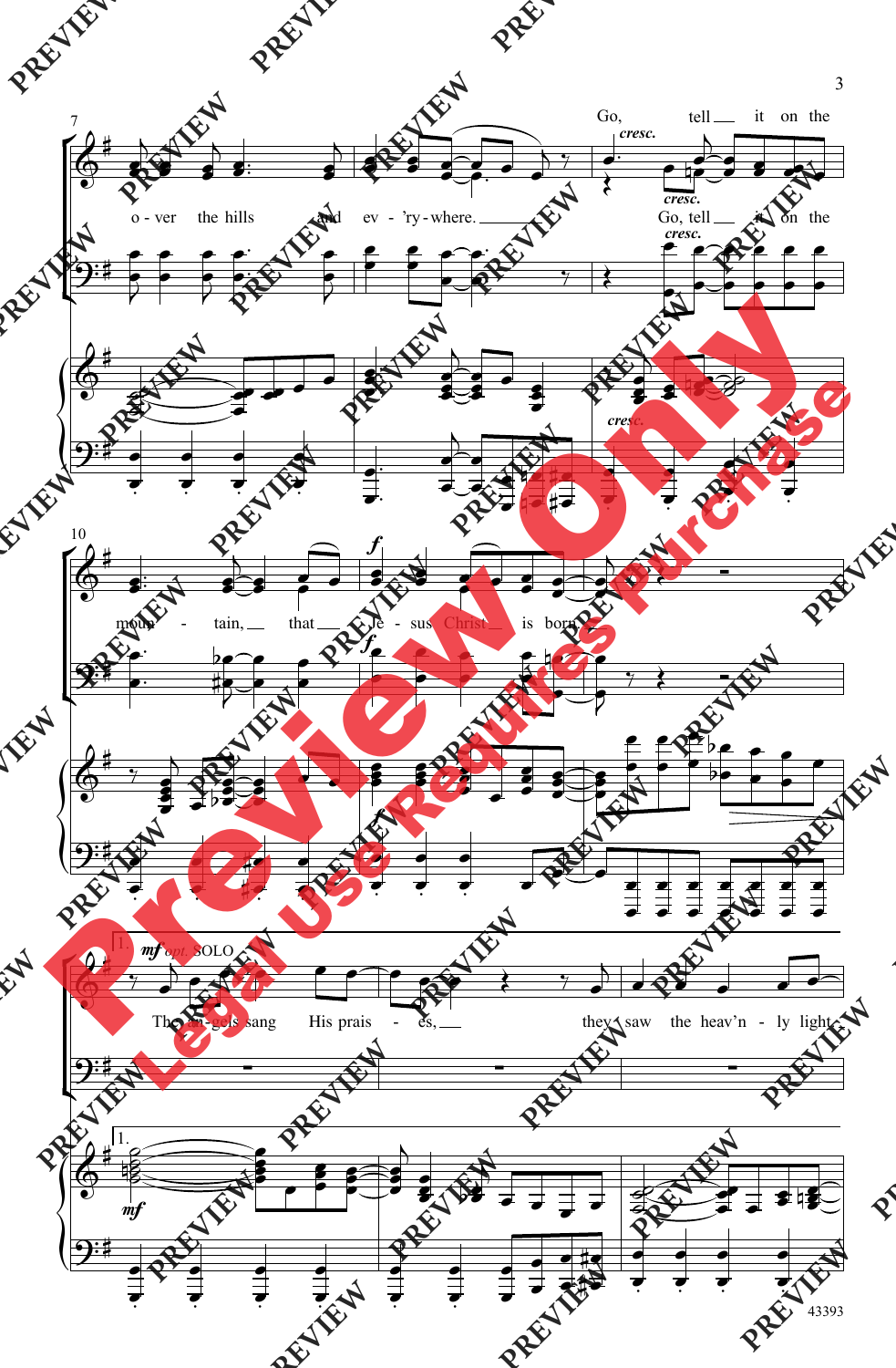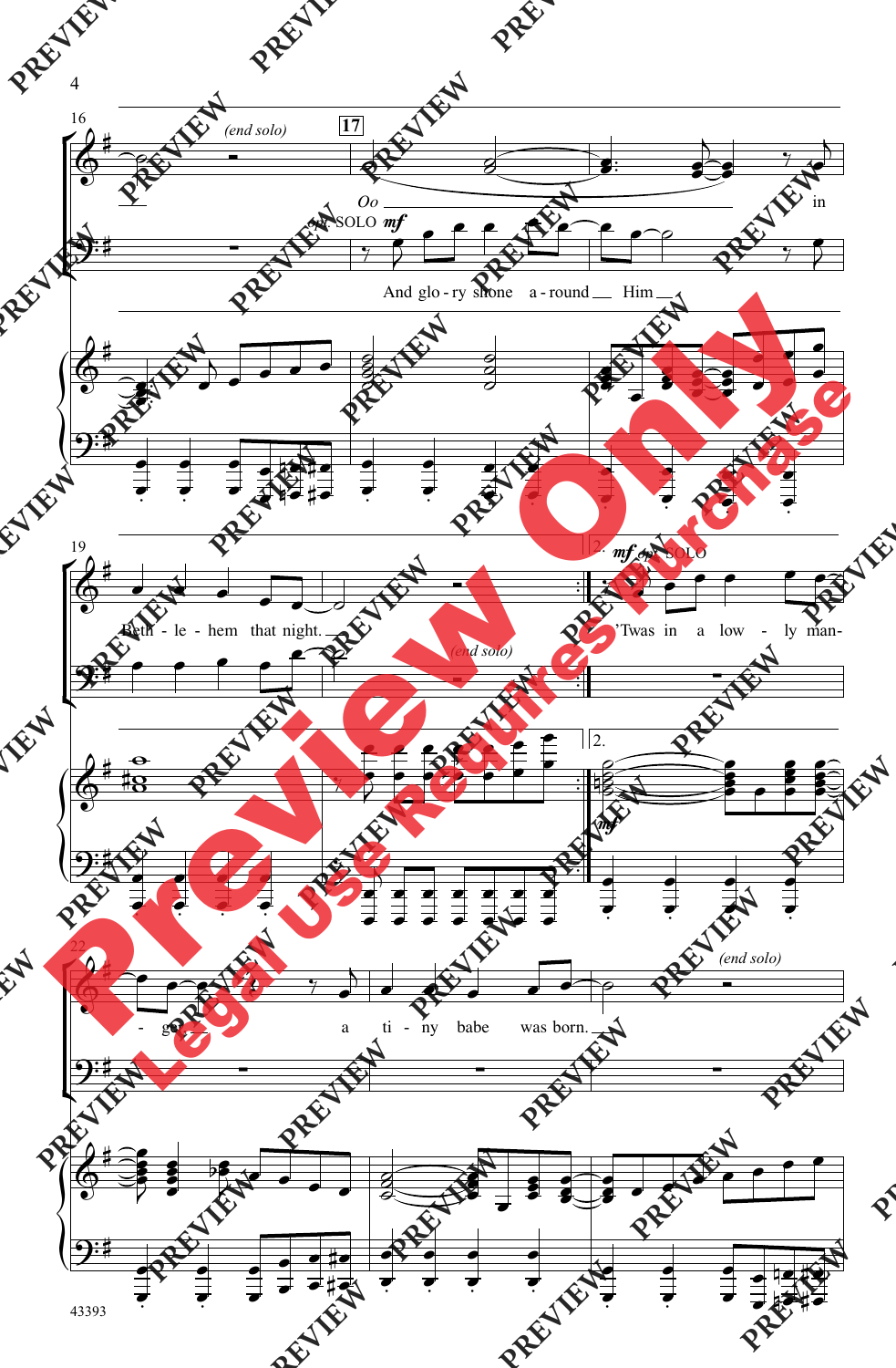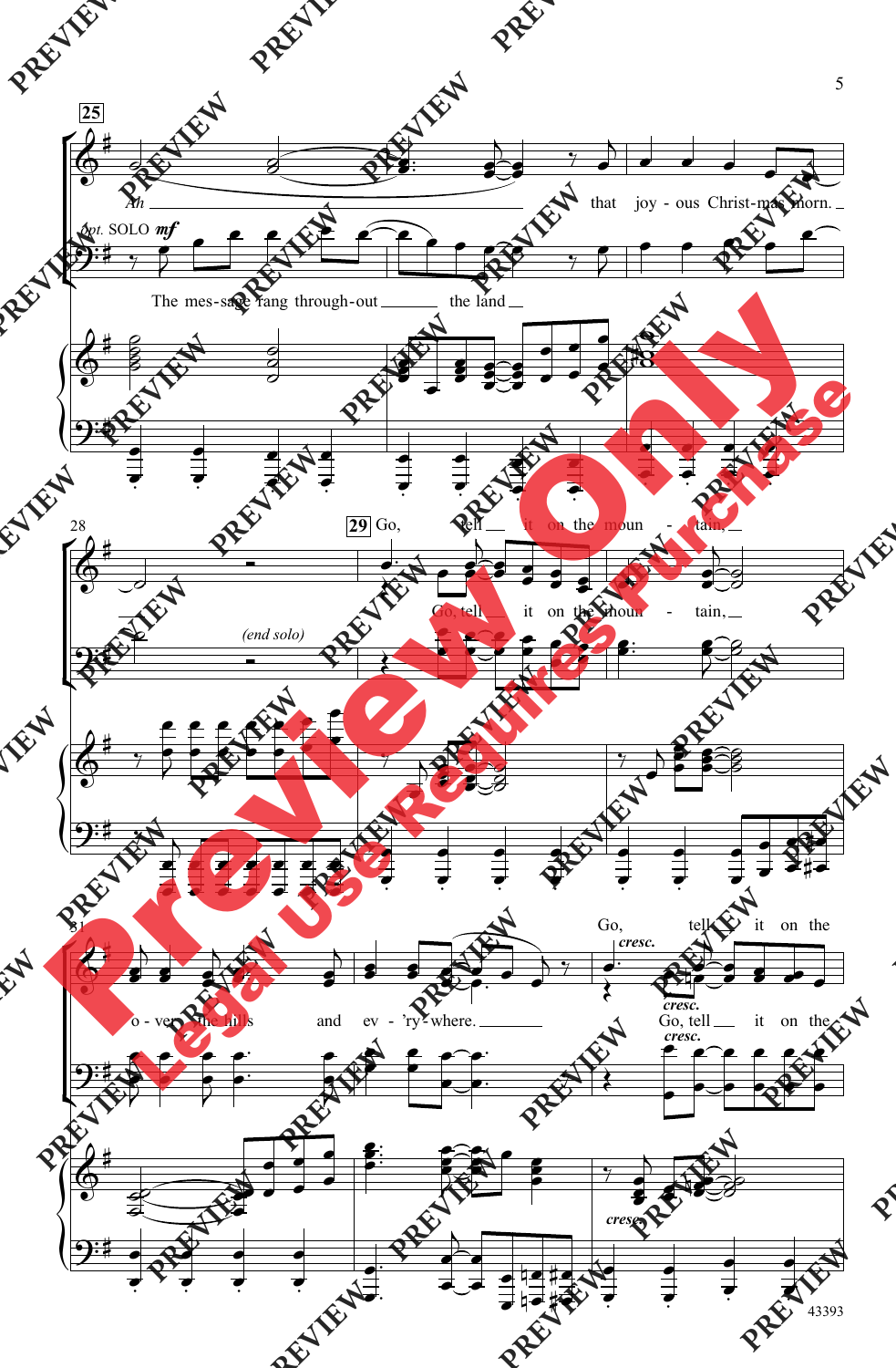

<sup>43393</sup>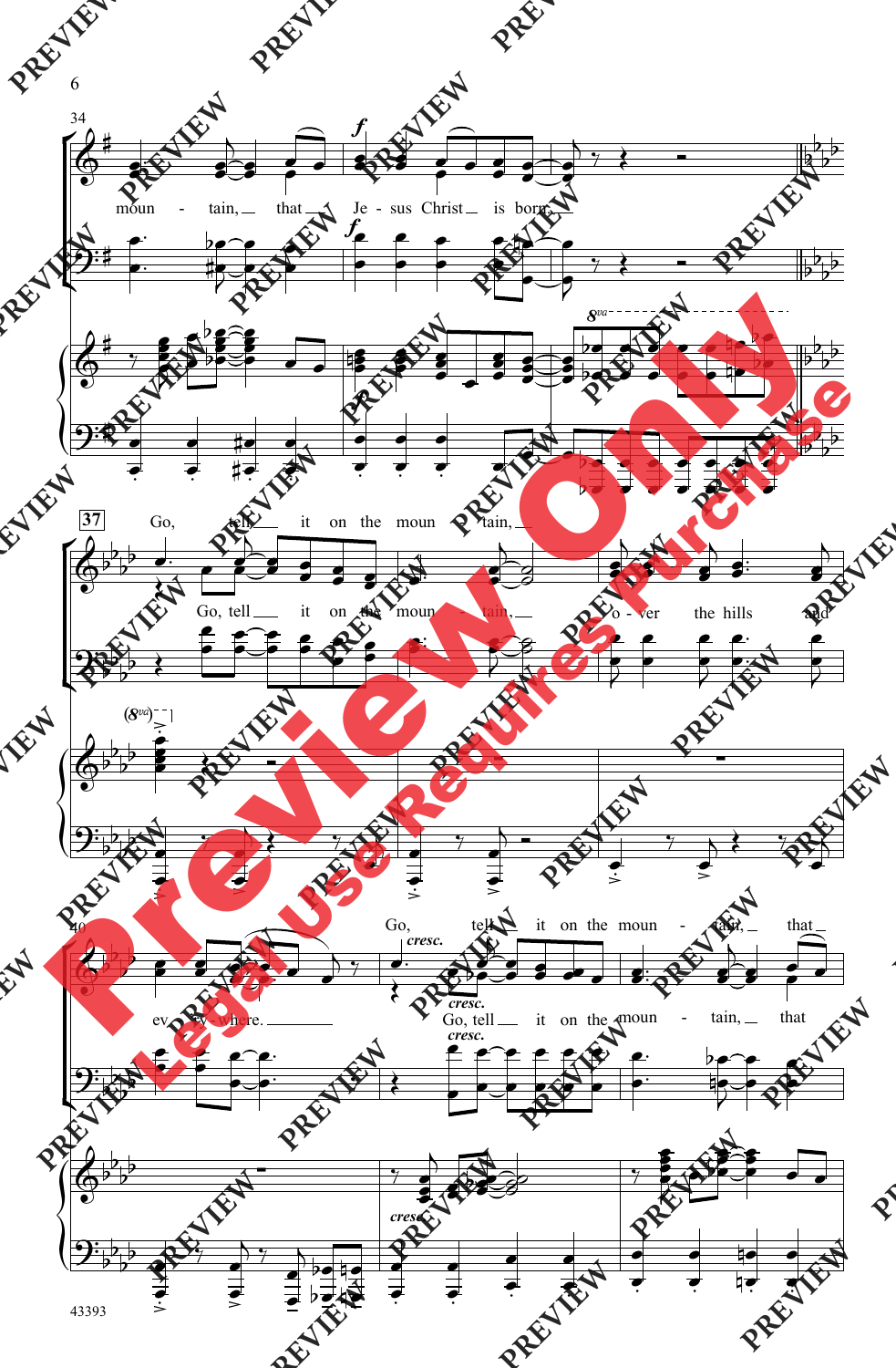